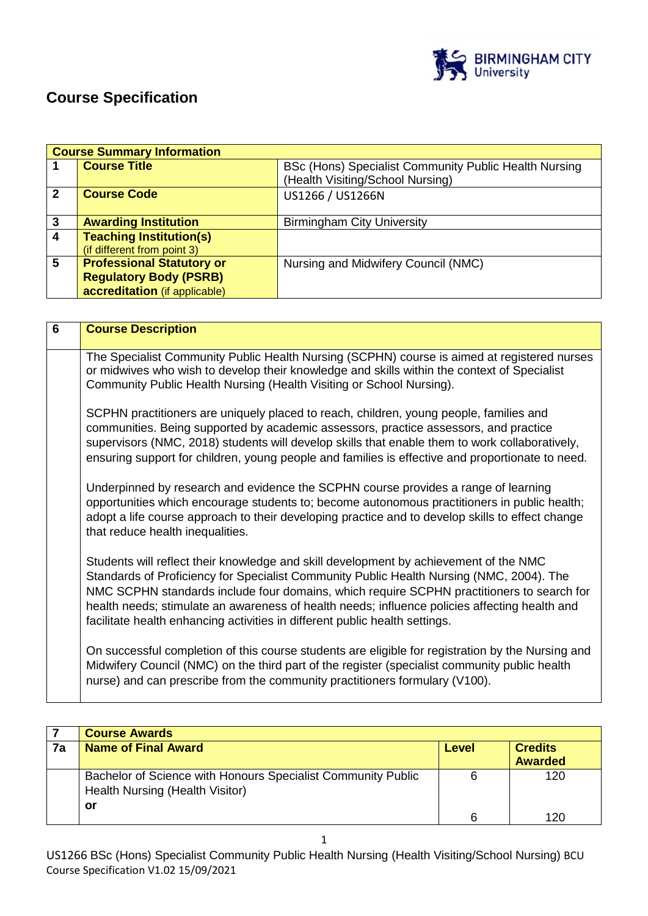

# **Course Specification**

|                | <b>Course Summary Information</b> |                                                                                           |
|----------------|-----------------------------------|-------------------------------------------------------------------------------------------|
|                | <b>Course Title</b>               | BSc (Hons) Specialist Community Public Health Nursing<br>(Health Visiting/School Nursing) |
| $\mathbf{2}$   | <b>Course Code</b>                | US1266 / US1266N                                                                          |
| 3              | <b>Awarding Institution</b>       | <b>Birmingham City University</b>                                                         |
| $\overline{4}$ | <b>Teaching Institution(s)</b>    |                                                                                           |
|                | (if different from point 3)       |                                                                                           |
| 5              | <b>Professional Statutory or</b>  | Nursing and Midwifery Council (NMC)                                                       |
|                | <b>Regulatory Body (PSRB)</b>     |                                                                                           |
|                | accreditation (if applicable)     |                                                                                           |

| $\overline{6}$ | <b>Course Description</b>                                                                                                                                                                                                                                                                                                                                                                                                                                      |
|----------------|----------------------------------------------------------------------------------------------------------------------------------------------------------------------------------------------------------------------------------------------------------------------------------------------------------------------------------------------------------------------------------------------------------------------------------------------------------------|
|                | The Specialist Community Public Health Nursing (SCPHN) course is aimed at registered nurses<br>or midwives who wish to develop their knowledge and skills within the context of Specialist<br>Community Public Health Nursing (Health Visiting or School Nursing).                                                                                                                                                                                             |
|                | SCPHN practitioners are uniquely placed to reach, children, young people, families and<br>communities. Being supported by academic assessors, practice assessors, and practice<br>supervisors (NMC, 2018) students will develop skills that enable them to work collaboratively,<br>ensuring support for children, young people and families is effective and proportionate to need.                                                                           |
|                | Underpinned by research and evidence the SCPHN course provides a range of learning<br>opportunities which encourage students to; become autonomous practitioners in public health;<br>adopt a life course approach to their developing practice and to develop skills to effect change<br>that reduce health inequalities.                                                                                                                                     |
|                | Students will reflect their knowledge and skill development by achievement of the NMC<br>Standards of Proficiency for Specialist Community Public Health Nursing (NMC, 2004). The<br>NMC SCPHN standards include four domains, which require SCPHN practitioners to search for<br>health needs; stimulate an awareness of health needs; influence policies affecting health and<br>facilitate health enhancing activities in different public health settings. |
|                | On successful completion of this course students are eligible for registration by the Nursing and<br>Midwifery Council (NMC) on the third part of the register (specialist community public health<br>nurse) and can prescribe from the community practitioners formulary (V100).                                                                                                                                                                              |

|    | <b>Course Awards</b>                                                                                  |       |                                  |
|----|-------------------------------------------------------------------------------------------------------|-------|----------------------------------|
| 7a | <b>Name of Final Award</b>                                                                            | Level | <b>Credits</b><br><b>Awarded</b> |
|    | Bachelor of Science with Honours Specialist Community Public<br>Health Nursing (Health Visitor)<br>or | 6     | 120                              |
|    |                                                                                                       | հ     | 120                              |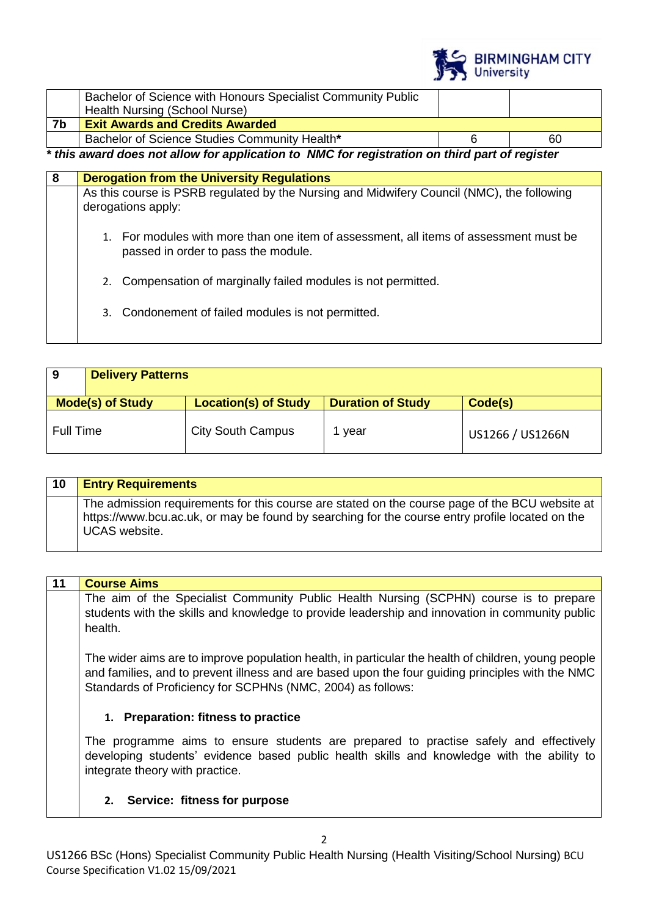

|    | Bachelor of Science with Honours Specialist Community Public |   |    |
|----|--------------------------------------------------------------|---|----|
|    | Health Nursing (School Nurse)                                |   |    |
| 7b | <b>Exit Awards and Credits Awarded</b>                       |   |    |
|    | Bachelor of Science Studies Community Health*                |   | 60 |
| .  | .<br>.                                                       | . |    |

*\* this award does not allow for application to NMC for registration on third part of register*

| -8 |    | <b>Derogation from the University Regulations</b>                                                                            |
|----|----|------------------------------------------------------------------------------------------------------------------------------|
|    |    | As this course is PSRB regulated by the Nursing and Midwifery Council (NMC), the following<br>derogations apply:             |
|    |    | 1. For modules with more than one item of assessment, all items of assessment must be<br>passed in order to pass the module. |
|    | 2. | Compensation of marginally failed modules is not permitted.                                                                  |
|    |    | 3. Condonement of failed modules is not permitted.                                                                           |
|    |    |                                                                                                                              |

| . 9       | <b>Delivery Patterns</b> |                             |                          |                  |
|-----------|--------------------------|-----------------------------|--------------------------|------------------|
|           | <b>Mode(s) of Study</b>  | <b>Location(s) of Study</b> | <b>Duration of Study</b> | Code(s)          |
| Full Time |                          | <b>City South Campus</b>    | 1 year                   | US1266 / US1266N |

| 10 | <b>Entry Requirements</b>                                                                                                                                                                                                 |
|----|---------------------------------------------------------------------------------------------------------------------------------------------------------------------------------------------------------------------------|
|    | The admission requirements for this course are stated on the course page of the BCU website at<br>https://www.bcu.ac.uk, or may be found by searching for the course entry profile located on the<br><b>UCAS</b> website. |

# **11 Course Aims**

The aim of the Specialist Community Public Health Nursing (SCPHN) course is to prepare students with the skills and knowledge to provide leadership and innovation in community public health.

The wider aims are to improve population health, in particular the health of children, young people and families, and to prevent illness and are based upon the four guiding principles with the NMC Standards of Proficiency for SCPHNs (NMC, 2004) as follows:

# **1. Preparation: fitness to practice**

The programme aims to ensure students are prepared to practise safely and effectively developing students' evidence based public health skills and knowledge with the ability to integrate theory with practice.

# **2. Service: fitness for purpose**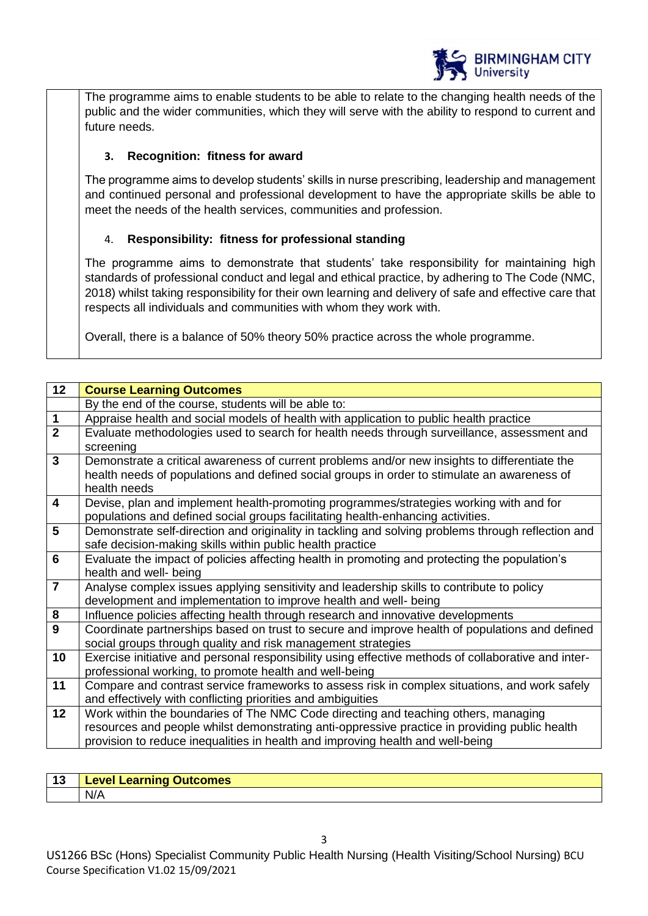

The programme aims to enable students to be able to relate to the changing health needs of the public and the wider communities, which they will serve with the ability to respond to current and future needs.

# **3. Recognition: fitness for award**

The programme aims to develop students' skills in nurse prescribing, leadership and management and continued personal and professional development to have the appropriate skills be able to meet the needs of the health services, communities and profession.

# 4. **Responsibility: fitness for professional standing**

The programme aims to demonstrate that students' take responsibility for maintaining high standards of professional conduct and legal and ethical practice, by adhering to The Code (NMC, 2018) whilst taking responsibility for their own learning and delivery of safe and effective care that respects all individuals and communities with whom they work with.

Overall, there is a balance of 50% theory 50% practice across the whole programme.

| 12                      | <b>Course Learning Outcomes</b>                                                                     |
|-------------------------|-----------------------------------------------------------------------------------------------------|
|                         | By the end of the course, students will be able to:                                                 |
| $\overline{1}$          | Appraise health and social models of health with application to public health practice              |
| $\overline{2}$          | Evaluate methodologies used to search for health needs through surveillance, assessment and         |
|                         | screening                                                                                           |
| $\overline{3}$          | Demonstrate a critical awareness of current problems and/or new insights to differentiate the       |
|                         | health needs of populations and defined social groups in order to stimulate an awareness of         |
|                         | health needs                                                                                        |
| $\overline{4}$          | Devise, plan and implement health-promoting programmes/strategies working with and for              |
|                         | populations and defined social groups facilitating health-enhancing activities.                     |
| $5\phantom{1}$          | Demonstrate self-direction and originality in tackling and solving problems through reflection and  |
|                         | safe decision-making skills within public health practice                                           |
| $6\phantom{1}6$         | Evaluate the impact of policies affecting health in promoting and protecting the population's       |
|                         | health and well- being                                                                              |
| $\overline{\mathbf{7}}$ | Analyse complex issues applying sensitivity and leadership skills to contribute to policy           |
|                         | development and implementation to improve health and well- being                                    |
| $\pmb{8}$               | Influence policies affecting health through research and innovative developments                    |
| $\overline{9}$          | Coordinate partnerships based on trust to secure and improve health of populations and defined      |
|                         | social groups through quality and risk management strategies                                        |
| 10                      | Exercise initiative and personal responsibility using effective methods of collaborative and inter- |
|                         | professional working, to promote health and well-being                                              |
| 11                      | Compare and contrast service frameworks to assess risk in complex situations, and work safely       |
|                         | and effectively with conflicting priorities and ambiguities                                         |
| 12                      | Work within the boundaries of The NMC Code directing and teaching others, managing                  |
|                         | resources and people whilst demonstrating anti-oppressive practice in providing public health       |
|                         | provision to reduce inequalities in health and improving health and well-being                      |
|                         |                                                                                                     |

| $\triangle$ | Learning Outcomes. |
|-------------|--------------------|
| . .         | -evel              |
|             | N/A                |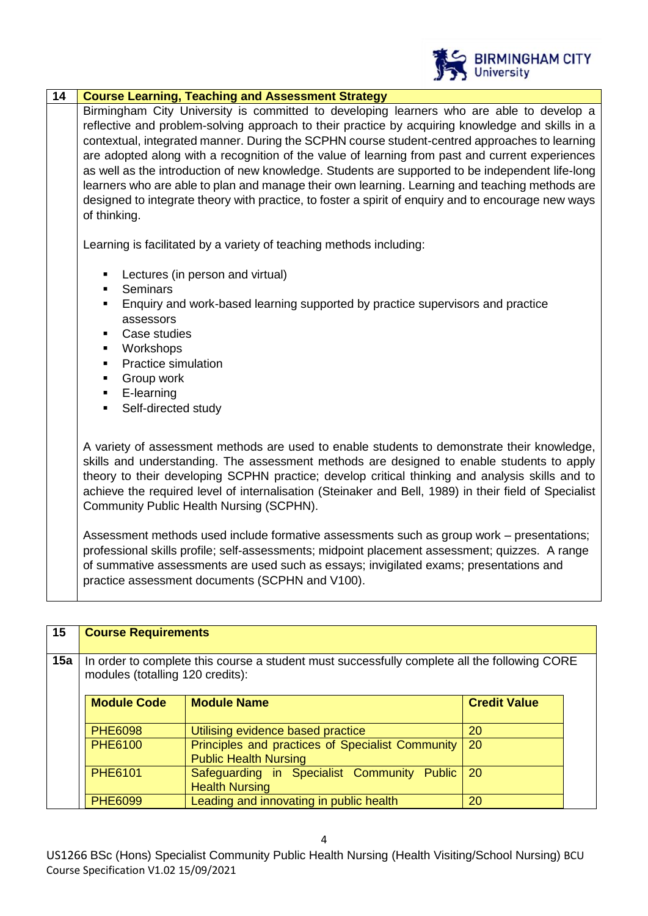

| 14 | <b>Course Learning, Teaching and Assessment Strategy</b>                                                                                                                                                                                                                                                                                                                                                                                                                                                                                                                                                                                                                                                                      |
|----|-------------------------------------------------------------------------------------------------------------------------------------------------------------------------------------------------------------------------------------------------------------------------------------------------------------------------------------------------------------------------------------------------------------------------------------------------------------------------------------------------------------------------------------------------------------------------------------------------------------------------------------------------------------------------------------------------------------------------------|
|    | Birmingham City University is committed to developing learners who are able to develop a<br>reflective and problem-solving approach to their practice by acquiring knowledge and skills in a<br>contextual, integrated manner. During the SCPHN course student-centred approaches to learning<br>are adopted along with a recognition of the value of learning from past and current experiences<br>as well as the introduction of new knowledge. Students are supported to be independent life-long<br>learners who are able to plan and manage their own learning. Learning and teaching methods are<br>designed to integrate theory with practice, to foster a spirit of enquiry and to encourage new ways<br>of thinking. |
|    | Learning is facilitated by a variety of teaching methods including:                                                                                                                                                                                                                                                                                                                                                                                                                                                                                                                                                                                                                                                           |
|    | Lectures (in person and virtual)<br><b>Seminars</b><br>Enquiry and work-based learning supported by practice supervisors and practice<br>assessors<br>Case studies<br>Workshops<br>٠<br><b>Practice simulation</b><br>$\blacksquare$<br>Group work<br>$\blacksquare$<br>E-learning<br>$\blacksquare$<br>Self-directed study                                                                                                                                                                                                                                                                                                                                                                                                   |
|    | A variety of assessment methods are used to enable students to demonstrate their knowledge,<br>skills and understanding. The assessment methods are designed to enable students to apply<br>theory to their developing SCPHN practice; develop critical thinking and analysis skills and to<br>achieve the required level of internalisation (Steinaker and Bell, 1989) in their field of Specialist<br>Community Public Health Nursing (SCPHN).                                                                                                                                                                                                                                                                              |
|    | Assessment methods used include formative assessments such as group work - presentations;<br>professional skills profile; self-assessments; midpoint placement assessment; quizzes. A range<br>of summative assessments are used such as essays; invigilated exams; presentations and<br>practice assessment documents (SCPHN and V100).                                                                                                                                                                                                                                                                                                                                                                                      |

| 15  | <b>Course Requirements</b>       |                                                                                              |                     |  |
|-----|----------------------------------|----------------------------------------------------------------------------------------------|---------------------|--|
| 15a | modules (totalling 120 credits): | In order to complete this course a student must successfully complete all the following CORE |                     |  |
|     | <b>Module Code</b>               | <b>Module Name</b>                                                                           | <b>Credit Value</b> |  |
|     | <b>PHE6098</b>                   | Utilising evidence based practice                                                            | 20                  |  |
|     | <b>PHE6100</b>                   | Principles and practices of Specialist Community<br><b>Public Health Nursing</b>             | 20                  |  |
|     | <b>PHE6101</b>                   | Safeguarding in Specialist Community<br><b>Public</b><br><b>Health Nursing</b>               | <b>20</b>           |  |
|     | <b>PHE6099</b>                   | Leading and innovating in public health                                                      | 20                  |  |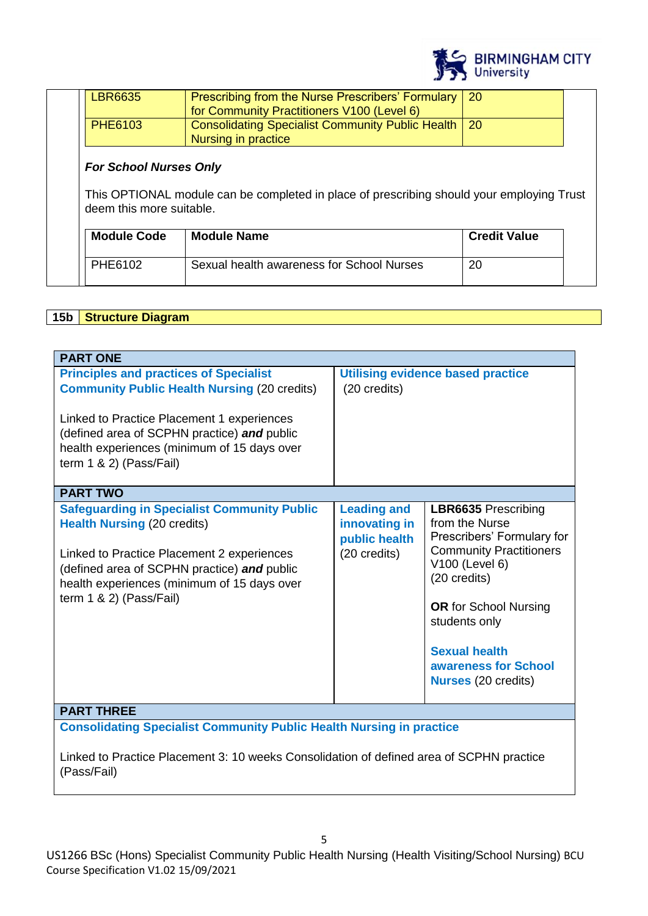

| deem this more suitable.<br><b>Module Code</b> | This OPTIONAL module can be completed in place of prescribing should your employing Trust<br><b>Module Name</b> | <b>Credit Value</b> |
|------------------------------------------------|-----------------------------------------------------------------------------------------------------------------|---------------------|
|                                                |                                                                                                                 |                     |
| <b>For School Nurses Only</b>                  |                                                                                                                 |                     |
|                                                | Nursing in practice                                                                                             |                     |
| <b>PHE6103</b>                                 | for Community Practitioners V100 (Level 6)<br><b>Consolidating Specialist Community Public Health</b>           | <b>20</b>           |
| <b>LBR6635</b>                                 | Prescribing from the Nurse Prescribers' Formulary                                                               | 20                  |

# **15b Structure Diagram**

| <b>PART ONE</b>                                                                                                                                                                                                                                                                 |                                                                      |                                                                                                                                                                                                                                                                               |  |
|---------------------------------------------------------------------------------------------------------------------------------------------------------------------------------------------------------------------------------------------------------------------------------|----------------------------------------------------------------------|-------------------------------------------------------------------------------------------------------------------------------------------------------------------------------------------------------------------------------------------------------------------------------|--|
| <b>Principles and practices of Specialist</b><br><b>Community Public Health Nursing (20 credits)</b><br>Linked to Practice Placement 1 experiences<br>(defined area of SCPHN practice) and public<br>health experiences (minimum of 15 days over<br>term $1 \& 2$ ) (Pass/Fail) | (20 credits)                                                         | <b>Utilising evidence based practice</b>                                                                                                                                                                                                                                      |  |
| <b>PART TWO</b>                                                                                                                                                                                                                                                                 |                                                                      |                                                                                                                                                                                                                                                                               |  |
| <b>Safeguarding in Specialist Community Public</b><br><b>Health Nursing (20 credits)</b><br>Linked to Practice Placement 2 experiences<br>(defined area of SCPHN practice) and public<br>health experiences (minimum of 15 days over<br>term $1 \& 2$ ) (Pass/Fail)             | <b>Leading and</b><br>innovating in<br>public health<br>(20 credits) | <b>LBR6635</b> Prescribing<br>from the Nurse<br>Prescribers' Formulary for<br><b>Community Practitioners</b><br>V100 (Level 6)<br>(20 credits)<br><b>OR</b> for School Nursing<br>students only<br><b>Sexual health</b><br>awareness for School<br><b>Nurses (20 credits)</b> |  |
| <b>PART THREE</b>                                                                                                                                                                                                                                                               |                                                                      |                                                                                                                                                                                                                                                                               |  |
| <b>Consolidating Specialist Community Public Health Nursing in practice</b>                                                                                                                                                                                                     |                                                                      |                                                                                                                                                                                                                                                                               |  |

Linked to Practice Placement 3: 10 weeks Consolidation of defined area of SCPHN practice (Pass/Fail)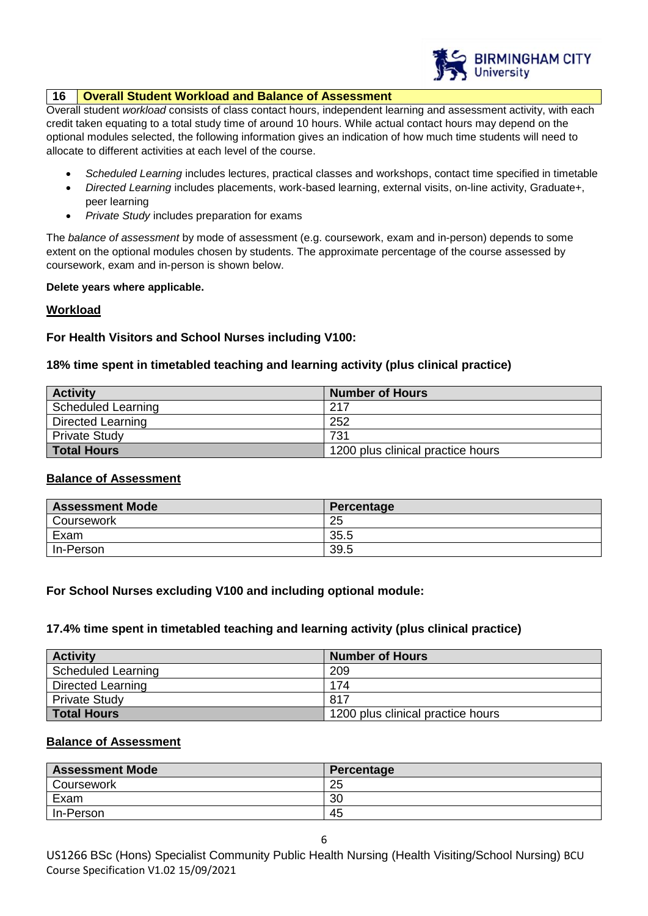

# **16 Overall Student Workload and Balance of Assessment**

Overall student *workload* consists of class contact hours, independent learning and assessment activity, with each credit taken equating to a total study time of around 10 hours. While actual contact hours may depend on the optional modules selected, the following information gives an indication of how much time students will need to allocate to different activities at each level of the course.

- *Scheduled Learning* includes lectures, practical classes and workshops, contact time specified in timetable
- *Directed Learning* includes placements, work-based learning, external visits, on-line activity, Graduate+, peer learning
- *Private Study* includes preparation for exams

The *balance of assessment* by mode of assessment (e.g. coursework, exam and in-person) depends to some extent on the optional modules chosen by students. The approximate percentage of the course assessed by coursework, exam and in-person is shown below.

#### **Delete years where applicable.**

# **Workload**

# **For Health Visitors and School Nurses including V100:**

# **18% time spent in timetabled teaching and learning activity (plus clinical practice)**

| <b>Activity</b>      | <b>Number of Hours</b>            |
|----------------------|-----------------------------------|
| Scheduled Learning   | 217                               |
| Directed Learning    | 252                               |
| <b>Private Study</b> | 731                               |
| <b>Total Hours</b>   | 1200 plus clinical practice hours |

# **Balance of Assessment**

| <b>Assessment Mode</b> | Percentage |
|------------------------|------------|
| Coursework             | 25         |
| Exam                   | 35.5       |
| In-Person              | 39.5       |

# **For School Nurses excluding V100 and including optional module:**

# **17.4% time spent in timetabled teaching and learning activity (plus clinical practice)**

| <b>Activity</b>      | <b>Number of Hours</b>            |
|----------------------|-----------------------------------|
| Scheduled Learning   | 209                               |
| Directed Learning    | 174                               |
| <b>Private Study</b> | 817                               |
| <b>Total Hours</b>   | 1200 plus clinical practice hours |

# **Balance of Assessment**

| <b>Assessment Mode</b> | Percentage |
|------------------------|------------|
| Coursework             | 25         |
| Exam                   | 30         |
| In-Person              | 45         |